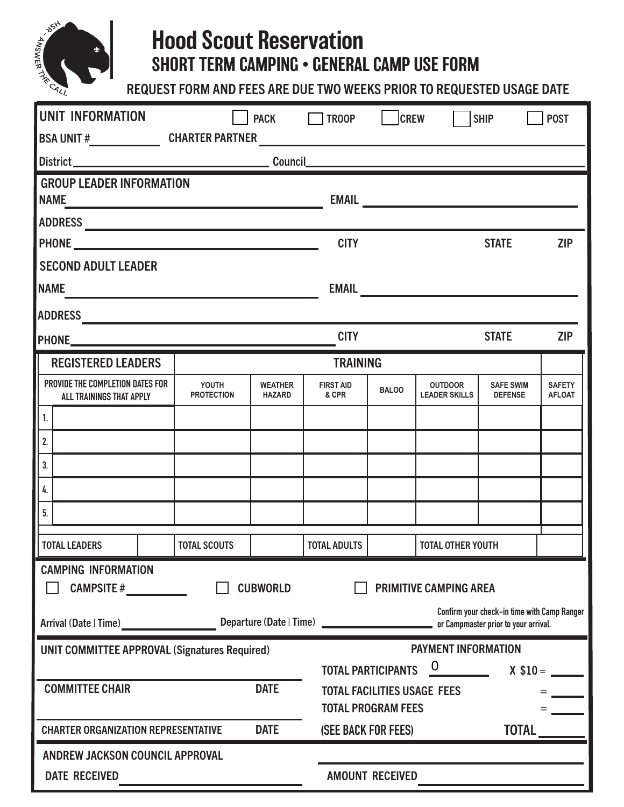

## Hood Scout Reservation SHORT TERM CAMPING • GENERAL CAMP USE FORM

REQUEST FORM AND FEES ARE DUE TWO WEEKS PRIOR TO REQUESTED USAGE DATE

| <b>UNIT INFORMATION</b>                                                                                                    | <b>PACK</b>                                                                      |                                 | $\Box$ TROOP              | <b>CREW</b>                                                      |                                        | <b>SHIP</b>                        | <b>POST</b>                    |  |
|----------------------------------------------------------------------------------------------------------------------------|----------------------------------------------------------------------------------|---------------------------------|---------------------------|------------------------------------------------------------------|----------------------------------------|------------------------------------|--------------------------------|--|
|                                                                                                                            | BSA UNIT #_________________________CHARTER PARTNER _____________________________ |                                 |                           |                                                                  |                                        |                                    |                                |  |
|                                                                                                                            |                                                                                  |                                 |                           |                                                                  |                                        |                                    |                                |  |
| <b>GROUP LEADER INFORMATION</b><br><b>NAME</b><br><u> 1980 - Johann Barn, mars eta bainar eta idazlea (</u>                |                                                                                  |                                 |                           |                                                                  |                                        |                                    |                                |  |
|                                                                                                                            |                                                                                  |                                 |                           |                                                                  |                                        |                                    |                                |  |
|                                                                                                                            | <b>CITY</b>                                                                      |                                 |                           | <b>STATE</b>                                                     | <b>ZIP</b>                             |                                    |                                |  |
| <b>SECOND ADULT LEADER</b>                                                                                                 |                                                                                  |                                 |                           |                                                                  |                                        |                                    |                                |  |
| <b>NAME</b><br><u> 1989 - Johann Barbara, martxa alemaniar a</u>                                                           |                                                                                  |                                 |                           |                                                                  |                                        |                                    |                                |  |
|                                                                                                                            |                                                                                  |                                 |                           |                                                                  |                                        |                                    |                                |  |
|                                                                                                                            |                                                                                  |                                 | <b>CITY</b>               |                                                                  |                                        | <b>STATE</b>                       | <b>ZIP</b>                     |  |
| <b>REGISTERED LEADERS</b>                                                                                                  |                                                                                  | <b>TRAINING</b>                 |                           |                                                                  |                                        |                                    |                                |  |
| PROVIDE THE COMPLETION DATES FOR<br>ALL TRAININGS THAT APPLY                                                               | YOUTH<br><b>PROTECTION</b>                                                       | <b>WEATHER</b><br><b>HAZARD</b> | <b>FIRST AID</b><br>& CPR | <b>BALOO</b>                                                     | <b>OUTDOOR</b><br><b>LEADER SKILLS</b> | <b>SAFE SWIM</b><br><b>DEFENSE</b> | <b>SAFETY</b><br><b>AFLOAT</b> |  |
| 1.                                                                                                                         |                                                                                  |                                 |                           |                                                                  |                                        |                                    |                                |  |
| 2.                                                                                                                         |                                                                                  |                                 |                           |                                                                  |                                        |                                    |                                |  |
| 3.                                                                                                                         |                                                                                  |                                 |                           |                                                                  |                                        |                                    |                                |  |
| 4.                                                                                                                         |                                                                                  |                                 |                           |                                                                  |                                        |                                    |                                |  |
| 5.                                                                                                                         |                                                                                  |                                 |                           |                                                                  |                                        |                                    |                                |  |
| <b>TOTAL LEADERS</b>                                                                                                       | <b>TOTAL SCOUTS</b>                                                              |                                 | <b>TOTAL ADULTS</b>       |                                                                  | <b>TOTAL OTHER YOUTH</b>               |                                    |                                |  |
| <b>CAMPING INFORMATION</b>                                                                                                 |                                                                                  |                                 |                           |                                                                  |                                        |                                    |                                |  |
|                                                                                                                            | CAMPSITE #<br><b>CUBWORLD</b><br><b>PRIMITIVE CAMPING AREA</b>                   |                                 |                           |                                                                  |                                        |                                    |                                |  |
| Confirm your check-in time with Camp Ranger<br>Arrival (Date   Time) Marrie Marson<br>or Campmaster prior to your arrival. |                                                                                  |                                 |                           |                                                                  |                                        |                                    |                                |  |
| <b>UNIT COMMITTEE APPROVAL (Signatures Required)</b>                                                                       |                                                                                  |                                 |                           | <b>PAYMENT INFORMATION</b>                                       |                                        |                                    |                                |  |
|                                                                                                                            |                                                                                  |                                 |                           | $\overline{0}$<br><b>TOTAL PARTICIPANTS</b><br>$X$ \$10 = $\_\_$ |                                        |                                    |                                |  |
| <b>COMMITTEE CHAIR</b><br><b>DATE</b>                                                                                      |                                                                                  |                                 |                           | <b>TOTAL FACILITIES USAGE FEES</b><br><b>TOTAL PROGRAM FEES</b>  |                                        |                                    |                                |  |
| <b>DATE</b><br><b>CHARTER ORGANIZATION REPRESENTATIVE</b>                                                                  |                                                                                  |                                 |                           | (SEE BACK FOR FEES)<br><b>TOTAL</b>                              |                                        |                                    |                                |  |
| ANDREW JACKSON COUNCIL APPROVAL                                                                                            |                                                                                  |                                 |                           |                                                                  |                                        |                                    |                                |  |
| <b>DATE RECEIVED</b>                                                                                                       |                                                                                  | <b>AMOUNT RECEIVED</b>          |                           |                                                                  |                                        |                                    |                                |  |